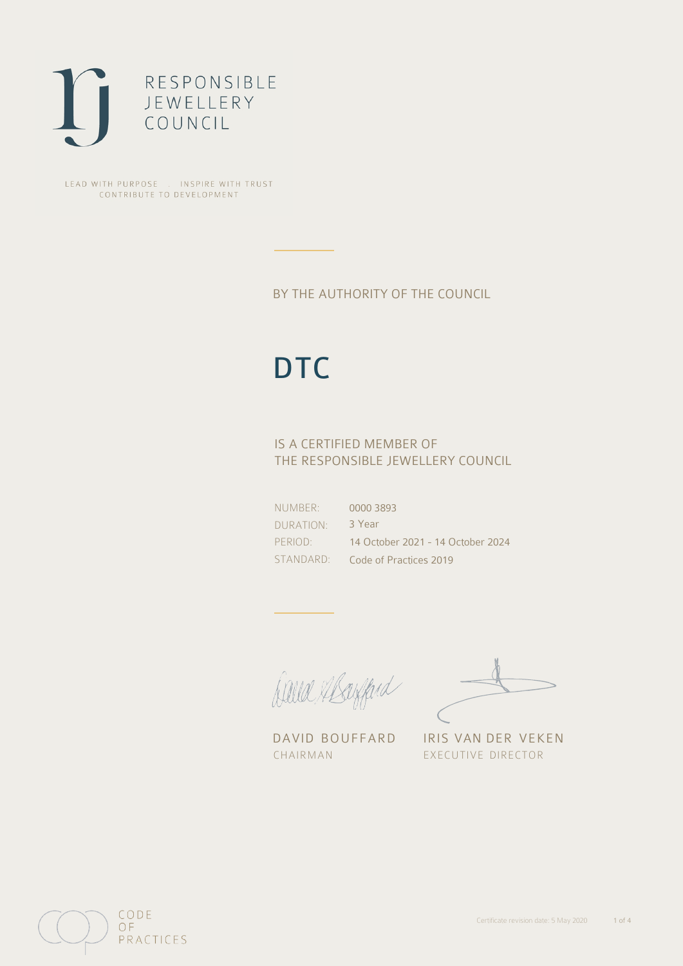

LEAD WITH PURPOSE . INSPIRE WITH TRUST CONTRIBUTE TO DEVELOPMENT

### BY THE AUTHORITY OF THE COUNCIL

# **DTC**

### IS A CERTIFIED MEMBER OF THE RESPONSIBLE JEWELLERY COUNCIL

NUMBER: DURATION: PERIOD: STANDARD: 0000 3893 3 Year 14 October 2021 - 14 October 2024 Code of Practices 2019

Balla Margaret

CHAIRMAN EXECUTIVE DIRECTOR

DAVID BOUFFARD IRIS VAN DER VEKEN

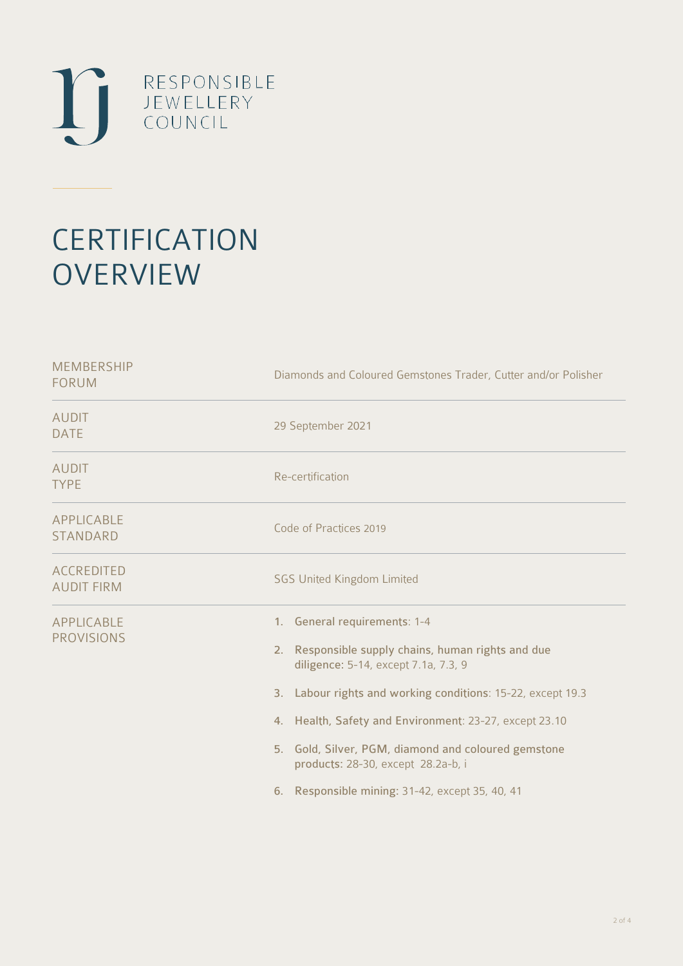

## **CERTIFICATION OVERVIEW**

| <b>MEMBERSHIP</b><br><b>FORUM</b>      | Diamonds and Coloured Gemstones Trader, Cutter and/or Polisher                                                                                                                                                                                                                                                                                                                                         |
|----------------------------------------|--------------------------------------------------------------------------------------------------------------------------------------------------------------------------------------------------------------------------------------------------------------------------------------------------------------------------------------------------------------------------------------------------------|
| <b>AUDIT</b><br><b>DATE</b>            | 29 September 2021                                                                                                                                                                                                                                                                                                                                                                                      |
| <b>AUDIT</b><br><b>TYPE</b>            | Re-certification                                                                                                                                                                                                                                                                                                                                                                                       |
| APPLICABLE<br><b>STANDARD</b>          | Code of Practices 2019                                                                                                                                                                                                                                                                                                                                                                                 |
| <b>ACCREDITED</b><br><b>AUDIT FIRM</b> | <b>SGS United Kingdom Limited</b>                                                                                                                                                                                                                                                                                                                                                                      |
| <b>APPLICABLE</b><br><b>PROVISIONS</b> | 1. General requirements: 1-4<br>2. Responsible supply chains, human rights and due<br>diligence: 5-14, except 7.1a, 7.3, 9<br>3. Labour rights and working conditions: 15-22, except 19.3<br>4. Health, Safety and Environment: 23-27, except 23.10<br>5. Gold, Silver, PGM, diamond and coloured gemstone<br>products: 28-30, except 28.2a-b, i<br>Responsible mining: 31-42, except 35, 40, 41<br>6. |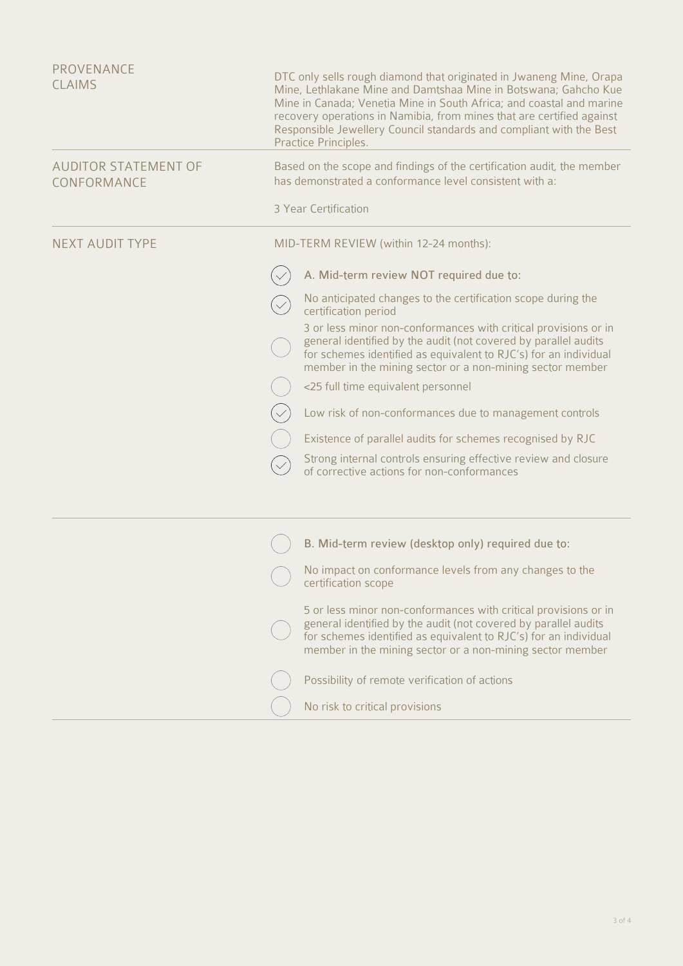| PROVENANCE<br><b>CLAIMS</b>                | DTC only sells rough diamond that originated in Jwaneng Mine, Orapa<br>Mine, Lethlakane Mine and Damtshaa Mine in Botswana; Gahcho Kue<br>Mine in Canada; Venetia Mine in South Africa; and coastal and marine<br>recovery operations in Namibia, from mines that are certified against<br>Responsible Jewellery Council standards and compliant with the Best<br>Practice Principles. |  |
|--------------------------------------------|----------------------------------------------------------------------------------------------------------------------------------------------------------------------------------------------------------------------------------------------------------------------------------------------------------------------------------------------------------------------------------------|--|
| <b>AUDITOR STATEMENT OF</b><br>CONFORMANCE | Based on the scope and findings of the certification audit, the member<br>has demonstrated a conformance level consistent with a:                                                                                                                                                                                                                                                      |  |
|                                            | 3 Year Certification                                                                                                                                                                                                                                                                                                                                                                   |  |
| <b>NEXT AUDIT TYPE</b>                     | MID-TERM REVIEW (within 12-24 months):                                                                                                                                                                                                                                                                                                                                                 |  |
|                                            | A. Mid-term review NOT required due to:                                                                                                                                                                                                                                                                                                                                                |  |
|                                            | No anticipated changes to the certification scope during the<br>certification period                                                                                                                                                                                                                                                                                                   |  |
|                                            | 3 or less minor non-conformances with critical provisions or in<br>general identified by the audit (not covered by parallel audits<br>for schemes identified as equivalent to RJC's) for an individual<br>member in the mining sector or a non-mining sector member                                                                                                                    |  |
|                                            | <25 full time equivalent personnel                                                                                                                                                                                                                                                                                                                                                     |  |
|                                            | Low risk of non-conformances due to management controls                                                                                                                                                                                                                                                                                                                                |  |
|                                            | Existence of parallel audits for schemes recognised by RJC                                                                                                                                                                                                                                                                                                                             |  |
|                                            | Strong internal controls ensuring effective review and closure<br>of corrective actions for non-conformances                                                                                                                                                                                                                                                                           |  |
|                                            | B. Mid-term review (desktop only) required due to:                                                                                                                                                                                                                                                                                                                                     |  |
|                                            | No impact on conformance levels from any changes to the<br>certification scope                                                                                                                                                                                                                                                                                                         |  |
|                                            | 5 or less minor non-conformances with critical provisions or in<br>general identified by the audit (not covered by parallel audits<br>for schemes identified as equivalent to RJC's) for an individual<br>member in the mining sector or a non-mining sector member                                                                                                                    |  |
|                                            | Possibility of remote verification of actions                                                                                                                                                                                                                                                                                                                                          |  |
|                                            | No risk to critical provisions                                                                                                                                                                                                                                                                                                                                                         |  |